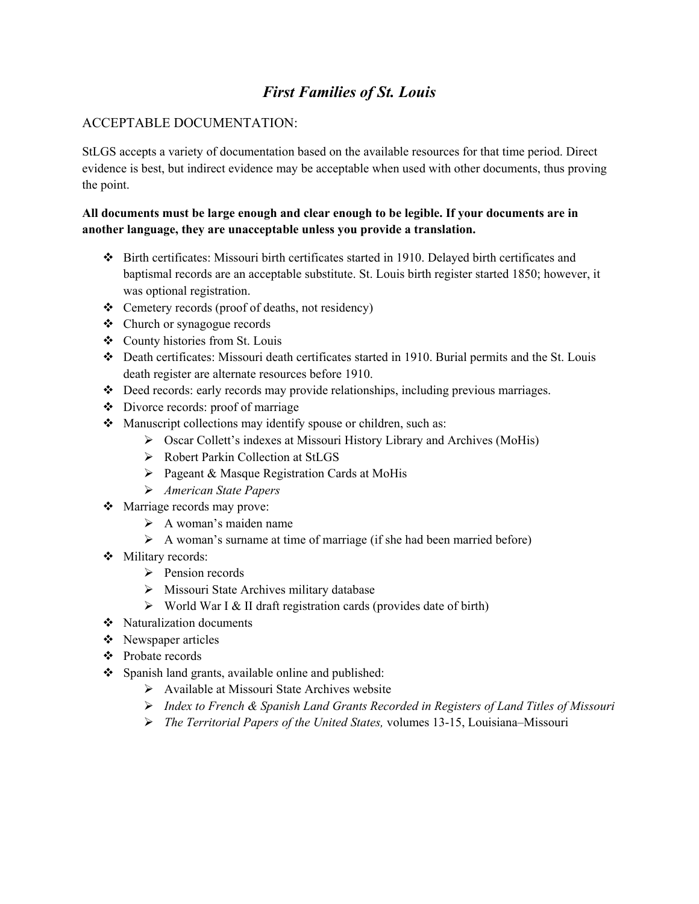# *First Families of St. Louis*

### ACCEPTABLE DOCUMENTATION:

StLGS accepts a variety of documentation based on the available resources for that time period. Direct evidence is best, but indirect evidence may be acceptable when used with other documents, thus proving the point.

#### **All documents must be large enough and clear enough to be legible. If your documents are in another language, they are unacceptable unless you provide a translation.**

- Birth certificates: Missouri birth certificates started in 1910. Delayed birth certificates and baptismal records are an acceptable substitute. St. Louis birth register started 1850; however, it was optional registration.
- Cemetery records (proof of deaths, not residency)
- Church or synagogue records
- County histories from St. Louis
- Death certificates: Missouri death certificates started in 1910. Burial permits and the St. Louis death register are alternate resources before 1910.
- $\bullet$  Deed records: early records may provide relationships, including previous marriages.
- Divorce records: proof of marriage
- Manuscript collections may identify spouse or children, such as:
	- Oscar Collett's indexes at Missouri History Library and Archives (MoHis)
	- Robert Parkin Collection at StLGS
	- $\triangleright$  Pageant & Masque Registration Cards at MoHis
	- *American State Papers*
- Marriage records may prove:
	- $\triangleright$  A woman's maiden name
	- $\triangleright$  A woman's surname at time of marriage (if she had been married before)
- Military records:
	- $\triangleright$  Pension records
	- Missouri State Archives military database
	- $\triangleright$  World War I & II draft registration cards (provides date of birth)
- Naturalization documents
- Newspaper articles
- ❖ Probate records
- Spanish land grants, available online and published:
	- $\triangleright$  Available at Missouri State Archives website
	- *Index to French & Spanish Land Grants Recorded in Registers of Land Titles of Missouri*
	- *The Territorial Papers of the United States,* volumes 13-15, Louisiana–Missouri